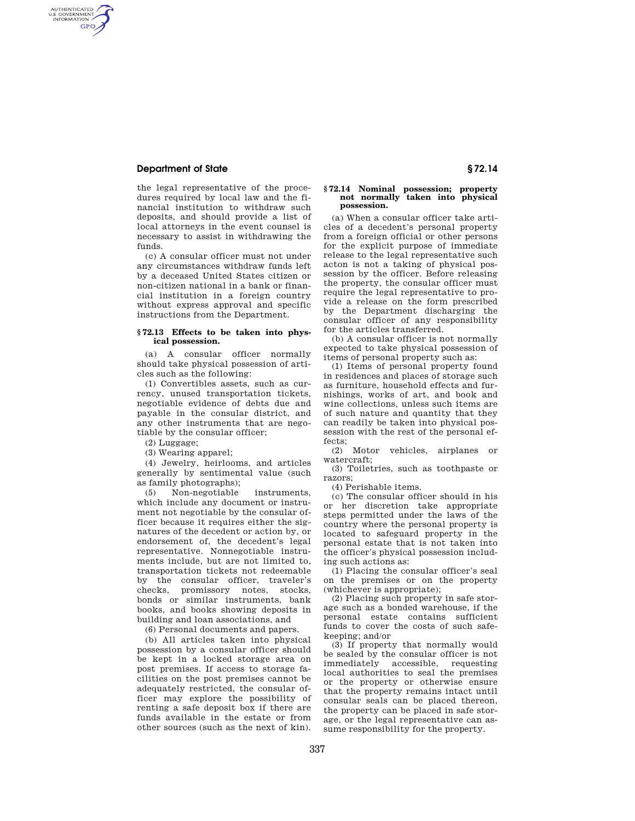## **Department of State § 72.14**

AUTHENTICATED<br>U.S. GOVERNMENT<br>INFORMATION **GPO** 

> the legal representative of the procedures required by local law and the financial institution to withdraw such deposits, and should provide a list of local attorneys in the event counsel is necessary to assist in withdrawing the funds.

> (c) A consular officer must not under any circumstances withdraw funds left by a deceased United States citizen or non-citizen national in a bank or financial institution in a foreign country without express approval and specific instructions from the Department.

## **§ 72.13 Effects to be taken into physical possession.**

(a) A consular officer normally should take physical possession of articles such as the following:

(1) Convertibles assets, such as currency, unused transportation tickets, negotiable evidence of debts due and payable in the consular district, and any other instruments that are negotiable by the consular officer;

(2) Luggage;

(3) Wearing apparel;

(4) Jewelry, heirlooms, and articles generally by sentimental value (such as family photographs);

(5) Non-negotiable instruments, which include any document or instrument not negotiable by the consular officer because it requires either the signatures of the decedent or action by, or endorsement of, the decedent's legal representative. Nonnegotiable instruments include, but are not limited to, transportation tickets not redeemable by the consular officer, traveler's checks, promissory notes, stocks, bonds or similar instruments, bank books, and books showing deposits in building and loan associations, and

(6) Personal documents and papers.

(b) All articles taken into physical possession by a consular officer should be kept in a locked storage area on post premises. If access to storage facilities on the post premises cannot be adequately restricted, the consular officer may explore the possibility of renting a safe deposit box if there are funds available in the estate or from other sources (such as the next of kin).

#### **§ 72.14 Nominal possession; property not normally taken into physical possession.**

(a) When a consular officer take articles of a decedent's personal property from a foreign official or other persons for the explicit purpose of immediate release to the legal representative such acton is not a taking of physical possession by the officer. Before releasing the property, the consular officer must require the legal representative to provide a release on the form prescribed by the Department discharging the consular officer of any responsibility for the articles transferred.

(b) A consular officer is not normally expected to take physical possession of items of personal property such as:

(1) Items of personal property found in residences and places of storage such as furniture, household effects and furnishings, works of art, and book and wine collections, unless such items are of such nature and quantity that they can readily be taken into physical possession with the rest of the personal effects;

(2) Motor vehicles, airplanes or watercraft;

(3) Toiletries, such as toothpaste or razors;

(4) Perishable items.

(c) The consular officer should in his or her discretion take appropriate steps permitted under the laws of the country where the personal property is located to safeguard property in the personal estate that is not taken into the officer's physical possession including such actions as:

(1) Placing the consular officer's seal on the premises or on the property (whichever is appropriate);

(2) Placing such property in safe storage such as a bonded warehouse, if the personal estate contains sufficient funds to cover the costs of such safekeeping; and/or

(3) If property that normally would be sealed by the consular officer is not immediately accessible, requesting local authorities to seal the premises or the property or otherwise ensure that the property remains intact until consular seals can be placed thereon, the property can be placed in safe storage, or the legal representative can assume responsibility for the property.